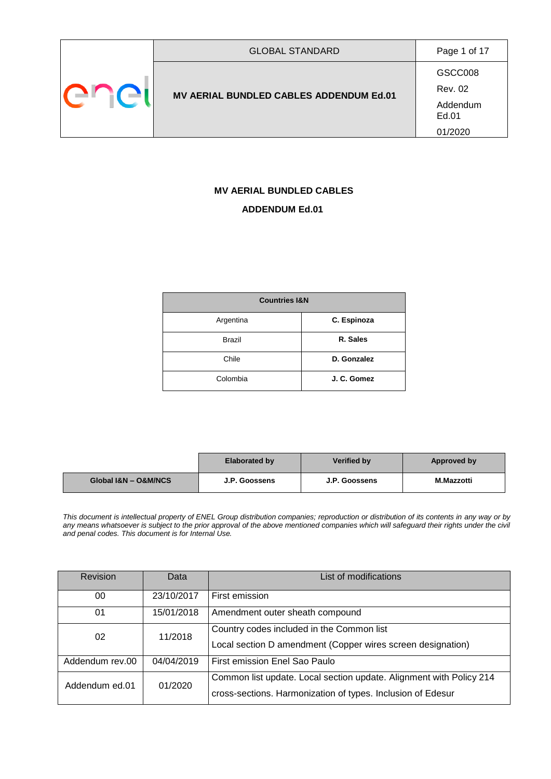| GSCC008                                 |
|-----------------------------------------|
| <b>Rev. 02</b>                          |
| Addendum<br>Ed.01<br>01/2020            |
| MV AERIAL BUNDLED CABLES ADDENDUM Ed.01 |

# **MV AERIAL BUNDLED CABLES ADDENDUM Ed.01**

| <b>Countries I&amp;N</b> |             |
|--------------------------|-------------|
| Argentina                | C. Espinoza |
| <b>Brazil</b>            | R. Sales    |
| Chile                    | D. Gonzalez |
| Colombia                 | J. C. Gomez |

|                      | <b>Elaborated by</b> | Verified by   | Approved by       |
|----------------------|----------------------|---------------|-------------------|
| Global I&N - O&M/NCS | J.P. Goossens        | J.P. Goossens | <b>M.Mazzotti</b> |

*This document is intellectual property of ENEL Group distribution companies; reproduction or distribution of its contents in any way or by any means whatsoever is subject to the prior approval of the above mentioned companies which will safeguard their rights under the civil and penal codes. This document is for Internal Use.*

| <b>Revision</b> | Data       | List of modifications                                                                                                              |
|-----------------|------------|------------------------------------------------------------------------------------------------------------------------------------|
| 00              | 23/10/2017 | First emission                                                                                                                     |
| 01              | 15/01/2018 | Amendment outer sheath compound                                                                                                    |
| 02              | 11/2018    | Country codes included in the Common list<br>Local section D amendment (Copper wires screen designation)                           |
| Addendum rev.00 | 04/04/2019 | First emission Enel Sao Paulo                                                                                                      |
| Addendum ed.01  | 01/2020    | Common list update. Local section update. Alignment with Policy 214<br>cross-sections. Harmonization of types. Inclusion of Edesur |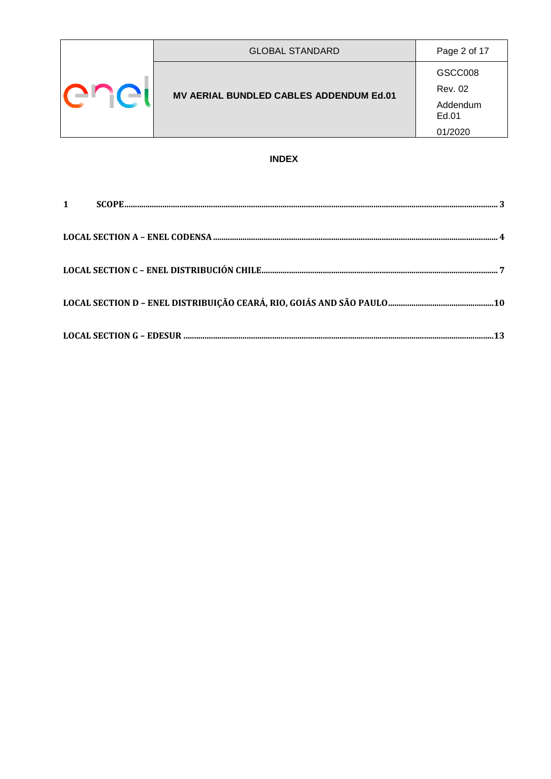| H C | <b>GLOBAL STANDARD</b>                  | Page 2 of 17      |
|-----|-----------------------------------------|-------------------|
|     |                                         | GSCC008           |
|     | MV AERIAL BUNDLED CABLES ADDENDUM Ed.01 | <b>Rev. 02</b>    |
|     |                                         | Addendum<br>Ed.01 |
|     |                                         | 01/2020           |

#### **INDEX**

| $1 \quad \blacksquare$ |  |
|------------------------|--|
|                        |  |
|                        |  |
|                        |  |
|                        |  |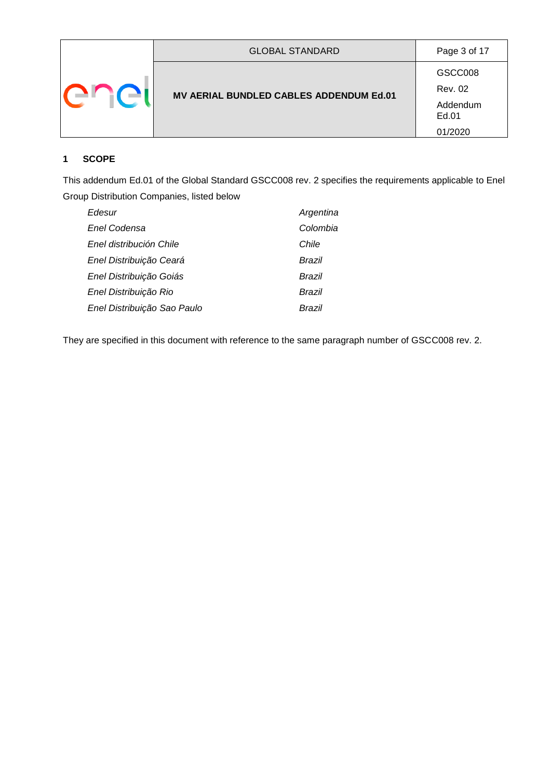|  | <b>GLOBAL STANDARD</b>                  | Page 3 of 17       |
|--|-----------------------------------------|--------------------|
|  | MV AERIAL BUNDLED CABLES ADDENDUM Ed.01 | GSCC008<br>Rev. 02 |
|  |                                         | Addendum<br>Ed.01  |
|  |                                         | 01/2020            |

#### <span id="page-2-0"></span>**1 SCOPE**

This addendum Ed.01 of the Global Standard GSCC008 rev. 2 specifies the requirements applicable to Enel Group Distribution Companies, listed below

| Edesur                      | Argentina |
|-----------------------------|-----------|
| Enel Codensa                | Colombia  |
| Enel distribución Chile     | Chile     |
| Enel Distribuição Ceará     | Brazil    |
| Enel Distribuição Goiás     | Brazil    |
| Enel Distribuição Rio       | Brazil    |
| Enel Distribuição Sao Paulo | Brazil    |

They are specified in this document with reference to the same paragraph number of GSCC008 rev. 2.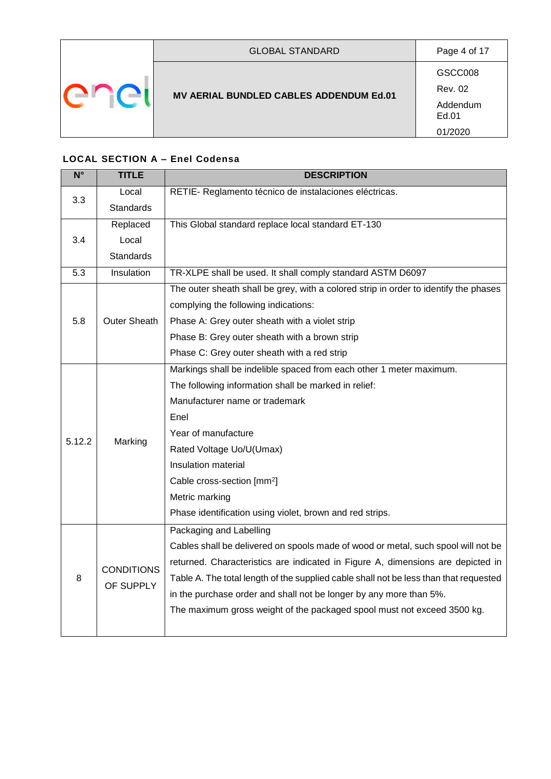|  | <b>GLOBAL STANDARD</b>                  | Page 4 of 17                 |
|--|-----------------------------------------|------------------------------|
|  | MV AERIAL BUNDLED CABLES ADDENDUM Ed.01 | GSCC008<br><b>Rev. 02</b>    |
|  |                                         | Addendum<br>Ed.01<br>01/2020 |

# <span id="page-3-0"></span>**LOCAL SECTION A – Enel Codensa**

| $N^{\circ}$ | <b>TITLE</b>                   | <b>DESCRIPTION</b>                                                                    |
|-------------|--------------------------------|---------------------------------------------------------------------------------------|
| 3.3         | Local                          | RETIE- Reglamento técnico de instalaciones eléctricas.                                |
|             | <b>Standards</b>               |                                                                                       |
|             | Replaced                       | This Global standard replace local standard ET-130                                    |
| 3.4         | Local                          |                                                                                       |
|             | <b>Standards</b>               |                                                                                       |
| 5.3         | Insulation                     | TR-XLPE shall be used. It shall comply standard ASTM D6097                            |
|             |                                | The outer sheath shall be grey, with a colored strip in order to identify the phases  |
|             |                                | complying the following indications:                                                  |
| 5.8         | <b>Outer Sheath</b>            | Phase A: Grey outer sheath with a violet strip                                        |
|             |                                | Phase B: Grey outer sheath with a brown strip                                         |
|             |                                | Phase C: Grey outer sheath with a red strip                                           |
|             |                                | Markings shall be indelible spaced from each other 1 meter maximum.                   |
|             |                                | The following information shall be marked in relief:                                  |
|             | Marking                        | Manufacturer name or trademark                                                        |
|             |                                | Enel                                                                                  |
| 5.12.2      |                                | Year of manufacture                                                                   |
|             |                                | Rated Voltage Uo/U(Umax)                                                              |
|             |                                | Insulation material                                                                   |
|             |                                | Cable cross-section [mm <sup>2</sup> ]                                                |
|             |                                | Metric marking                                                                        |
|             |                                | Phase identification using violet, brown and red strips.                              |
|             |                                | Packaging and Labelling                                                               |
|             |                                | Cables shall be delivered on spools made of wood or metal, such spool will not be     |
|             |                                | returned. Characteristics are indicated in Figure A, dimensions are depicted in       |
| 8           | <b>CONDITIONS</b><br>OF SUPPLY | Table A. The total length of the supplied cable shall not be less than that requested |
|             |                                | in the purchase order and shall not be longer by any more than 5%.                    |
|             |                                | The maximum gross weight of the packaged spool must not exceed 3500 kg.               |
|             |                                |                                                                                       |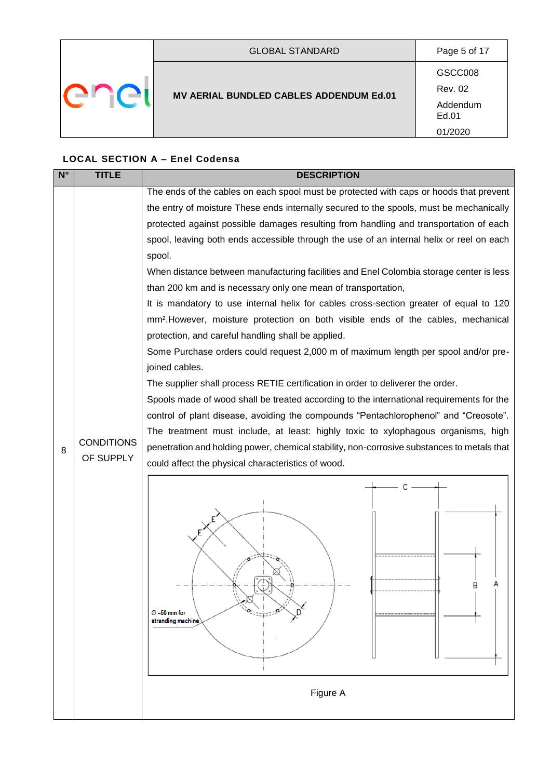|  | <b>GLOBAL STANDARD</b>                  | Page 5 of 17              |
|--|-----------------------------------------|---------------------------|
|  | MV AERIAL BUNDLED CABLES ADDENDUM Ed.01 | GSCC008<br><b>Rev. 02</b> |
|  |                                         | Addendum<br>Ed.01         |
|  |                                         | 01/2020                   |

# **LOCAL SECTION A – Enel Codensa**

| $N^{\circ}$ | <b>TITLE</b>      | <b>DESCRIPTION</b>                                                                            |  |
|-------------|-------------------|-----------------------------------------------------------------------------------------------|--|
|             |                   | The ends of the cables on each spool must be protected with caps or hoods that prevent        |  |
|             |                   | the entry of moisture These ends internally secured to the spools, must be mechanically       |  |
|             |                   | protected against possible damages resulting from handling and transportation of each         |  |
|             |                   | spool, leaving both ends accessible through the use of an internal helix or reel on each      |  |
|             |                   | spool.                                                                                        |  |
|             |                   | When distance between manufacturing facilities and Enel Colombia storage center is less       |  |
|             |                   | than 200 km and is necessary only one mean of transportation,                                 |  |
|             |                   | It is mandatory to use internal helix for cables cross-section greater of equal to 120        |  |
|             |                   | mm <sup>2</sup> . However, moisture protection on both visible ends of the cables, mechanical |  |
|             |                   | protection, and careful handling shall be applied.                                            |  |
|             |                   | Some Purchase orders could request 2,000 m of maximum length per spool and/or pre-            |  |
|             |                   | joined cables.                                                                                |  |
|             |                   | The supplier shall process RETIE certification in order to deliverer the order.               |  |
|             |                   | Spools made of wood shall be treated according to the international requirements for the      |  |
|             |                   | control of plant disease, avoiding the compounds "Pentachlorophenol" and "Creosote".          |  |
|             | <b>CONDITIONS</b> | The treatment must include, at least: highly toxic to xylophagous organisms, high             |  |
| 8           | OF SUPPLY         | penetration and holding power, chemical stability, non-corrosive substances to metals that    |  |
|             |                   | could affect the physical characteristics of wood.                                            |  |
|             |                   | C                                                                                             |  |
|             |                   |                                                                                               |  |
|             |                   |                                                                                               |  |
|             |                   |                                                                                               |  |
|             |                   |                                                                                               |  |
|             |                   |                                                                                               |  |
|             |                   | B                                                                                             |  |
|             |                   |                                                                                               |  |
|             |                   | $\varnothing$ =50 mm for<br>stranding machine                                                 |  |
|             |                   |                                                                                               |  |
|             |                   |                                                                                               |  |
|             |                   |                                                                                               |  |
|             |                   | Figure A                                                                                      |  |
|             |                   |                                                                                               |  |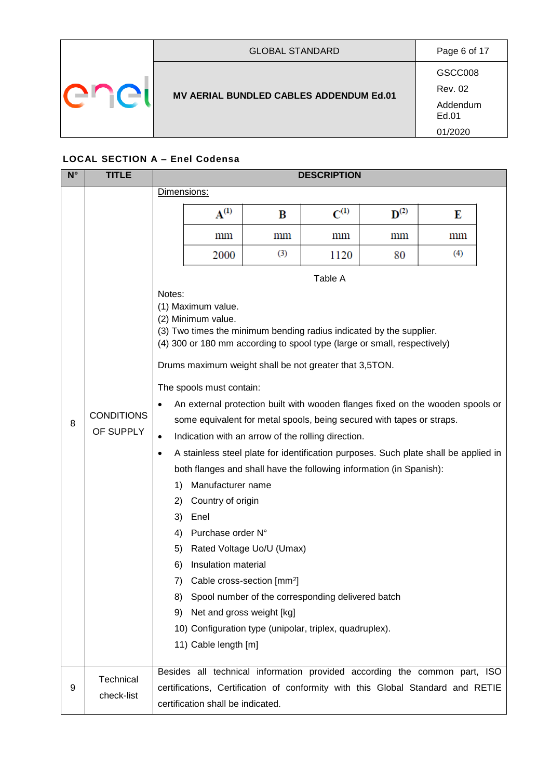|  | <b>GLOBAL STANDARD</b>                  | Page 6 of 17              |
|--|-----------------------------------------|---------------------------|
|  |                                         | GSCC008<br><b>Rev. 02</b> |
|  | MV AERIAL BUNDLED CABLES ADDENDUM Ed.01 | Addendum<br>Ed.01         |
|  |                                         | 01/2020                   |

#### **LOCAL SECTION A – Enel Codensa**

| $N^{\circ}$ | <b>TITLE</b>                   |                                                                                                      | <b>DESCRIPTION</b>                                                                                                                                                                                |                                                                                                                                                                                                                                                                                                                                                                                                                                                                                                                                                                                                                                                                                                                                                                                                              |             |                    |                 |  |
|-------------|--------------------------------|------------------------------------------------------------------------------------------------------|---------------------------------------------------------------------------------------------------------------------------------------------------------------------------------------------------|--------------------------------------------------------------------------------------------------------------------------------------------------------------------------------------------------------------------------------------------------------------------------------------------------------------------------------------------------------------------------------------------------------------------------------------------------------------------------------------------------------------------------------------------------------------------------------------------------------------------------------------------------------------------------------------------------------------------------------------------------------------------------------------------------------------|-------------|--------------------|-----------------|--|
|             |                                | Dimensions:                                                                                          |                                                                                                                                                                                                   |                                                                                                                                                                                                                                                                                                                                                                                                                                                                                                                                                                                                                                                                                                                                                                                                              |             |                    |                 |  |
|             |                                |                                                                                                      | $\mathbf{A}^{(1)}$                                                                                                                                                                                | B                                                                                                                                                                                                                                                                                                                                                                                                                                                                                                                                                                                                                                                                                                                                                                                                            | $C^{(1)}$   | $\mathbf{D}^{(2)}$ | Е               |  |
|             |                                |                                                                                                      | mm                                                                                                                                                                                                | $\,\mathrm{mm}$                                                                                                                                                                                                                                                                                                                                                                                                                                                                                                                                                                                                                                                                                                                                                                                              | $\text{mm}$ | $\,\mathrm{mm}$    | $\,\mathrm{mm}$ |  |
|             |                                |                                                                                                      | 2000                                                                                                                                                                                              | (3)                                                                                                                                                                                                                                                                                                                                                                                                                                                                                                                                                                                                                                                                                                                                                                                                          | 1120        | 80                 | (4)             |  |
|             |                                |                                                                                                      |                                                                                                                                                                                                   |                                                                                                                                                                                                                                                                                                                                                                                                                                                                                                                                                                                                                                                                                                                                                                                                              | Table A     |                    |                 |  |
| 8           | <b>CONDITIONS</b><br>OF SUPPLY | Notes:<br>$\bullet$<br>$\bullet$<br>$\bullet$<br>1)<br>2)<br>3)<br>4)<br>5)<br>6)<br>7)<br>8).<br>9) | (1) Maximum value.<br>(2) Minimum value.<br>The spools must contain:<br>Manufacturer name<br>Country of origin<br>Enel<br>Purchase order N°<br>Insulation material<br>11) Cable length [m]        | (3) Two times the minimum bending radius indicated by the supplier.<br>(4) 300 or 180 mm according to spool type (large or small, respectively)<br>Drums maximum weight shall be not greater that 3,5TON.<br>An external protection built with wooden flanges fixed on the wooden spools or<br>some equivalent for metal spools, being secured with tapes or straps.<br>Indication with an arrow of the rolling direction.<br>A stainless steel plate for identification purposes. Such plate shall be applied in<br>both flanges and shall have the following information (in Spanish):<br>Rated Voltage Uo/U (Umax)<br>Cable cross-section [mm <sup>2</sup> ]<br>Spool number of the corresponding delivered batch<br>Net and gross weight [kg]<br>10) Configuration type (unipolar, triplex, quadruplex). |             |                    |                 |  |
| 9           | Technical<br>check-list        |                                                                                                      | Besides all technical information provided according the common part, ISO<br>certifications, Certification of conformity with this Global Standard and RETIE<br>certification shall be indicated. |                                                                                                                                                                                                                                                                                                                                                                                                                                                                                                                                                                                                                                                                                                                                                                                                              |             |                    |                 |  |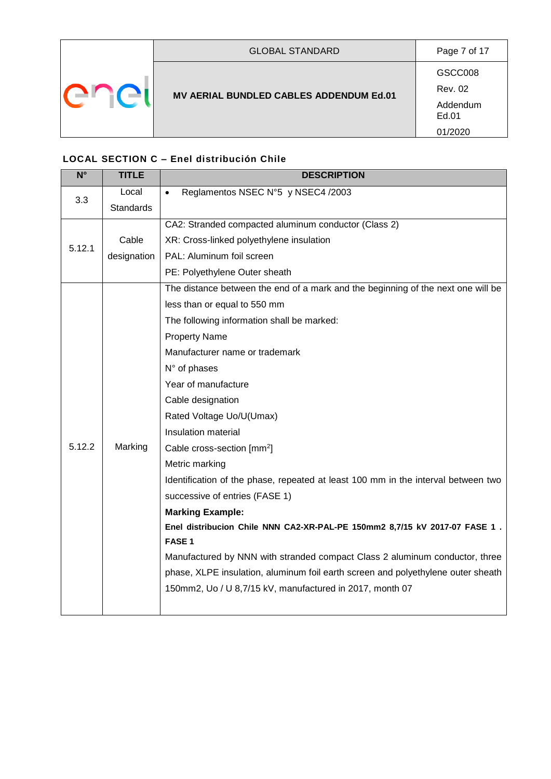|  | <b>GLOBAL STANDARD</b>                  | Page 7 of 17       |
|--|-----------------------------------------|--------------------|
|  |                                         | GSCC008<br>Rev. 02 |
|  | MV AERIAL BUNDLED CABLES ADDENDUM Ed.01 | Addendum<br>Ed.01  |
|  |                                         | 01/2020            |

# <span id="page-6-0"></span>**LOCAL SECTION C – Enel distribución Chile**

| $N^{\circ}$ | <b>TITLE</b>     | <b>DESCRIPTION</b>                                                                |
|-------------|------------------|-----------------------------------------------------------------------------------|
| 3.3         | Local            | Reglamentos NSEC N°5 y NSEC4 /2003                                                |
|             | <b>Standards</b> |                                                                                   |
|             |                  | CA2: Stranded compacted aluminum conductor (Class 2)                              |
| 5.12.1      | Cable            | XR: Cross-linked polyethylene insulation                                          |
|             | designation      | PAL: Aluminum foil screen                                                         |
|             |                  | PE: Polyethylene Outer sheath                                                     |
|             |                  | The distance between the end of a mark and the beginning of the next one will be  |
|             |                  | less than or equal to 550 mm                                                      |
|             |                  | The following information shall be marked:                                        |
|             |                  | <b>Property Name</b>                                                              |
|             |                  | Manufacturer name or trademark                                                    |
|             |                  | N° of phases                                                                      |
|             |                  | Year of manufacture                                                               |
|             |                  | Cable designation                                                                 |
|             |                  | Rated Voltage Uo/U(Umax)                                                          |
|             |                  | Insulation material                                                               |
| 5.12.2      | Marking          | Cable cross-section [mm <sup>2</sup> ]                                            |
|             |                  | Metric marking                                                                    |
|             |                  | Identification of the phase, repeated at least 100 mm in the interval between two |
|             |                  | successive of entries (FASE 1)                                                    |
|             |                  | <b>Marking Example:</b>                                                           |
|             |                  | Enel distribucion Chile NNN CA2-XR-PAL-PE 150mm2 8,7/15 kV 2017-07 FASE 1.        |
|             |                  | FASE <sub>1</sub>                                                                 |
|             |                  | Manufactured by NNN with stranded compact Class 2 aluminum conductor, three       |
|             |                  | phase, XLPE insulation, aluminum foil earth screen and polyethylene outer sheath  |
|             |                  | 150mm2, Uo / U 8,7/15 kV, manufactured in 2017, month 07                          |
|             |                  |                                                                                   |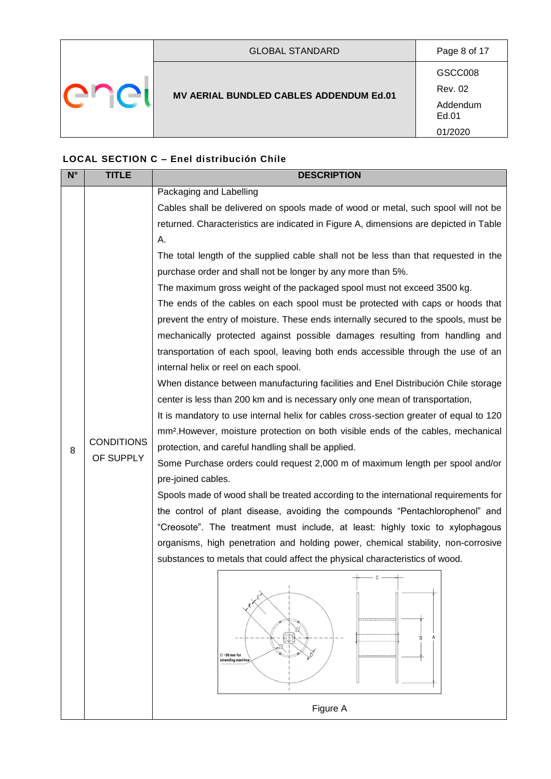|  | <b>GLOBAL STANDARD</b>                  | Page 8 of 17              |
|--|-----------------------------------------|---------------------------|
|  |                                         | GSCC008<br><b>Rev. 02</b> |
|  | MV AERIAL BUNDLED CABLES ADDENDUM Ed.01 | Addendum<br>Ed.01         |
|  |                                         | 01/2020                   |

### **LOCAL SECTION C – Enel distribución Chile**

| $N^{\circ}$ | <b>TITLE</b>                   | <b>DESCRIPTION</b>                                                                            |
|-------------|--------------------------------|-----------------------------------------------------------------------------------------------|
|             |                                | Packaging and Labelling                                                                       |
|             |                                | Cables shall be delivered on spools made of wood or metal, such spool will not be             |
|             |                                | returned. Characteristics are indicated in Figure A, dimensions are depicted in Table         |
|             |                                | Α.                                                                                            |
|             |                                | The total length of the supplied cable shall not be less than that requested in the           |
|             |                                | purchase order and shall not be longer by any more than 5%.                                   |
|             |                                | The maximum gross weight of the packaged spool must not exceed 3500 kg.                       |
|             |                                | The ends of the cables on each spool must be protected with caps or hoods that                |
|             |                                | prevent the entry of moisture. These ends internally secured to the spools, must be           |
|             |                                | mechanically protected against possible damages resulting from handling and                   |
|             |                                | transportation of each spool, leaving both ends accessible through the use of an              |
|             |                                | internal helix or reel on each spool.                                                         |
|             |                                | When distance between manufacturing facilities and Enel Distribución Chile storage            |
|             |                                | center is less than 200 km and is necessary only one mean of transportation,                  |
|             |                                | It is mandatory to use internal helix for cables cross-section greater of equal to 120        |
|             |                                | mm <sup>2</sup> . However, moisture protection on both visible ends of the cables, mechanical |
| 8           | <b>CONDITIONS</b><br>OF SUPPLY | protection, and careful handling shall be applied.                                            |
|             |                                | Some Purchase orders could request 2,000 m of maximum length per spool and/or                 |
|             |                                | pre-joined cables.                                                                            |
|             |                                | Spools made of wood shall be treated according to the international requirements for          |
|             |                                | the control of plant disease, avoiding the compounds "Pentachlorophenol" and                  |
|             |                                | "Creosote". The treatment must include, at least: highly toxic to xylophagous                 |
|             |                                | organisms, high penetration and holding power, chemical stability, non-corrosive              |
|             |                                | substances to metals that could affect the physical characteristics of wood.                  |
|             |                                | $+\rightarrow$ c $-$ +                                                                        |
|             |                                |                                                                                               |
|             |                                |                                                                                               |
|             |                                |                                                                                               |
|             |                                | B                                                                                             |
|             |                                | $\varnothing$ =50 mm for<br>stranding machine                                                 |
|             |                                |                                                                                               |
|             |                                | Figure A                                                                                      |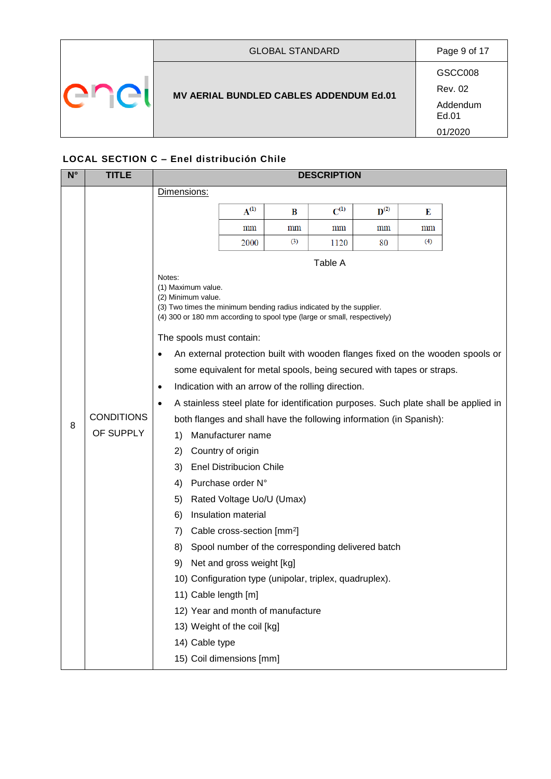|  | <b>GLOBAL STANDARD</b>                  | Page 9 of 17              |
|--|-----------------------------------------|---------------------------|
|  | MV AERIAL BUNDLED CABLES ADDENDUM Ed.01 | GSCC008<br><b>Rev. 02</b> |
|  |                                         | Addendum<br>Ed.01         |
|  |                                         | 01/2020                   |

### **LOCAL SECTION C – Enel distribución Chile**

| $N^{\circ}$ | <b>TITLE</b>      | <b>DESCRIPTION</b>                                                                                                                                                                          |                                                         |                                                   |           |                    |                 |                                                                                     |
|-------------|-------------------|---------------------------------------------------------------------------------------------------------------------------------------------------------------------------------------------|---------------------------------------------------------|---------------------------------------------------|-----------|--------------------|-----------------|-------------------------------------------------------------------------------------|
|             |                   | Dimensions:                                                                                                                                                                                 |                                                         |                                                   |           |                    |                 |                                                                                     |
|             |                   |                                                                                                                                                                                             | $A^{(1)}$                                               | B                                                 | $C^{(1)}$ | $\mathbf{D}^{(2)}$ | Е               |                                                                                     |
|             |                   |                                                                                                                                                                                             | $\,\mathrm{mm}$                                         | $\,\mathrm{mm}$                                   | mm        | $\,\mathrm{mm}$    | $\,\mathrm{mm}$ |                                                                                     |
|             |                   |                                                                                                                                                                                             | 2000                                                    | (3)                                               | 1120      | 80                 | (4)             |                                                                                     |
|             |                   | Notes:                                                                                                                                                                                      |                                                         |                                                   | Table A   |                    |                 |                                                                                     |
|             |                   | (1) Maximum value.<br>(2) Minimum value.<br>(3) Two times the minimum bending radius indicated by the supplier.<br>(4) 300 or 180 mm according to spool type (large or small, respectively) |                                                         |                                                   |           |                    |                 |                                                                                     |
|             |                   | The spools must contain:                                                                                                                                                                    |                                                         |                                                   |           |                    |                 |                                                                                     |
|             |                   | $\bullet$                                                                                                                                                                                   |                                                         |                                                   |           |                    |                 | An external protection built with wooden flanges fixed on the wooden spools or      |
|             |                   | some equivalent for metal spools, being secured with tapes or straps.                                                                                                                       |                                                         |                                                   |           |                    |                 |                                                                                     |
|             |                   | Indication with an arrow of the rolling direction.<br>$\bullet$                                                                                                                             |                                                         |                                                   |           |                    |                 |                                                                                     |
|             |                   | $\bullet$                                                                                                                                                                                   |                                                         |                                                   |           |                    |                 | A stainless steel plate for identification purposes. Such plate shall be applied in |
| 8           | <b>CONDITIONS</b> | both flanges and shall have the following information (in Spanish):                                                                                                                         |                                                         |                                                   |           |                    |                 |                                                                                     |
|             | OF SUPPLY         | 1)                                                                                                                                                                                          | Manufacturer name                                       |                                                   |           |                    |                 |                                                                                     |
|             |                   | 2)                                                                                                                                                                                          | Country of origin                                       |                                                   |           |                    |                 |                                                                                     |
|             |                   | 3)                                                                                                                                                                                          | <b>Enel Distribucion Chile</b>                          |                                                   |           |                    |                 |                                                                                     |
|             |                   | 4)                                                                                                                                                                                          | Purchase order N°                                       |                                                   |           |                    |                 |                                                                                     |
|             |                   | 5)                                                                                                                                                                                          | Rated Voltage Uo/U (Umax)                               |                                                   |           |                    |                 |                                                                                     |
|             |                   | 6)                                                                                                                                                                                          | Insulation material                                     |                                                   |           |                    |                 |                                                                                     |
|             |                   | 7)                                                                                                                                                                                          | Cable cross-section [mm <sup>2</sup> ]                  |                                                   |           |                    |                 |                                                                                     |
|             |                   | 8)                                                                                                                                                                                          |                                                         | Spool number of the corresponding delivered batch |           |                    |                 |                                                                                     |
|             |                   | 9)                                                                                                                                                                                          | Net and gross weight [kg]                               |                                                   |           |                    |                 |                                                                                     |
|             |                   |                                                                                                                                                                                             | 10) Configuration type (unipolar, triplex, quadruplex). |                                                   |           |                    |                 |                                                                                     |
|             |                   | 11) Cable length [m]                                                                                                                                                                        |                                                         |                                                   |           |                    |                 |                                                                                     |
|             |                   |                                                                                                                                                                                             |                                                         | 12) Year and month of manufacture                 |           |                    |                 |                                                                                     |
|             |                   | 13) Weight of the coil [kg]                                                                                                                                                                 |                                                         |                                                   |           |                    |                 |                                                                                     |
|             |                   | 14) Cable type                                                                                                                                                                              |                                                         |                                                   |           |                    |                 |                                                                                     |
|             |                   | 15) Coil dimensions [mm]                                                                                                                                                                    |                                                         |                                                   |           |                    |                 |                                                                                     |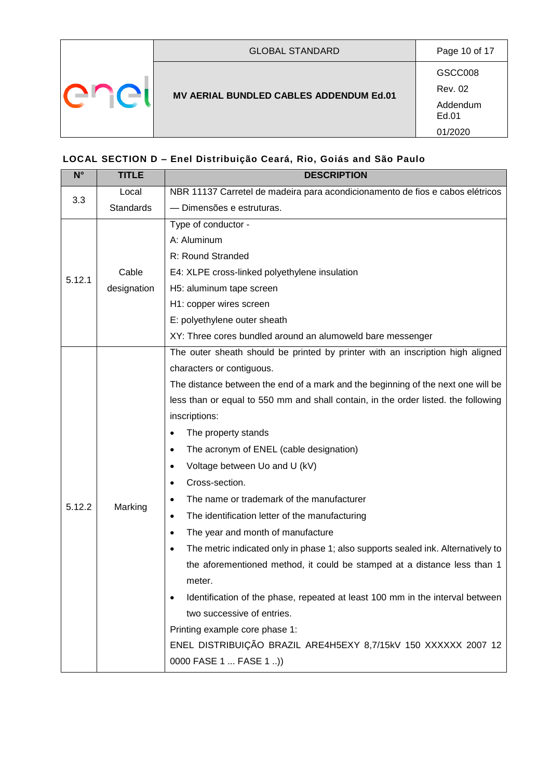|  | <b>GLOBAL STANDARD</b>                         | Page 10 of 17             |
|--|------------------------------------------------|---------------------------|
|  | <b>MV AERIAL BUNDLED CABLES ADDENDUM Ed.01</b> | GSCC008<br><b>Rev. 02</b> |
|  |                                                | Addendum<br>Ed.01         |
|  |                                                | 01/2020                   |

# <span id="page-9-0"></span>**LOCAL SECTION D – Enel Distribuição Ceará, Rio, Goiás and São Paulo**

| $N^{\circ}$ | <b>TITLE</b> | <b>DESCRIPTION</b>                                                                            |  |  |  |
|-------------|--------------|-----------------------------------------------------------------------------------------------|--|--|--|
| 3.3         | Local        | NBR 11137 Carretel de madeira para acondicionamento de fios e cabos elétricos                 |  |  |  |
|             | Standards    | - Dimensões e estruturas.                                                                     |  |  |  |
|             |              | Type of conductor -                                                                           |  |  |  |
|             |              | A: Aluminum                                                                                   |  |  |  |
|             |              | R: Round Stranded                                                                             |  |  |  |
| 5.12.1      | Cable        | E4: XLPE cross-linked polyethylene insulation                                                 |  |  |  |
|             | designation  | H5: aluminum tape screen                                                                      |  |  |  |
|             |              | H1: copper wires screen                                                                       |  |  |  |
|             |              | E: polyethylene outer sheath                                                                  |  |  |  |
|             |              | XY: Three cores bundled around an alumoweld bare messenger                                    |  |  |  |
|             |              | The outer sheath should be printed by printer with an inscription high aligned                |  |  |  |
|             |              | characters or contiguous.                                                                     |  |  |  |
|             |              | The distance between the end of a mark and the beginning of the next one will be              |  |  |  |
|             |              | less than or equal to 550 mm and shall contain, in the order listed. the following            |  |  |  |
|             |              | inscriptions:                                                                                 |  |  |  |
|             |              | The property stands<br>$\bullet$                                                              |  |  |  |
|             |              | The acronym of ENEL (cable designation)<br>$\bullet$                                          |  |  |  |
|             |              | Voltage between Uo and U (kV)<br>$\bullet$                                                    |  |  |  |
|             |              | Cross-section.<br>$\bullet$                                                                   |  |  |  |
| 5.12.2      | Marking      | The name or trademark of the manufacturer<br>$\bullet$                                        |  |  |  |
|             |              | The identification letter of the manufacturing<br>$\bullet$                                   |  |  |  |
|             |              | The year and month of manufacture<br>$\bullet$                                                |  |  |  |
|             |              | The metric indicated only in phase 1; also supports sealed ink. Alternatively to<br>$\bullet$ |  |  |  |
|             |              | the aforementioned method, it could be stamped at a distance less than 1                      |  |  |  |
|             |              | meter.                                                                                        |  |  |  |
|             |              | Identification of the phase, repeated at least 100 mm in the interval between<br>٠            |  |  |  |
|             |              | two successive of entries.                                                                    |  |  |  |
|             |              | Printing example core phase 1:                                                                |  |  |  |
|             |              | ENEL DISTRIBUIÇÃO BRAZIL ARE4H5EXY 8,7/15kV 150 XXXXXX 2007 12                                |  |  |  |
|             |              | 0000 FASE 1  FASE 1 )                                                                         |  |  |  |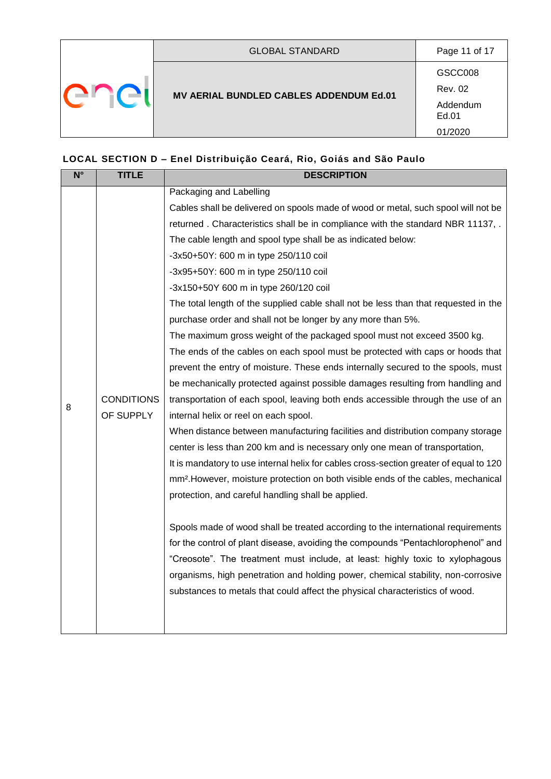|  | <b>GLOBAL STANDARD</b>                  | Page 11 of 17             |
|--|-----------------------------------------|---------------------------|
|  | MV AERIAL BUNDLED CABLES ADDENDUM Ed.01 | GSCC008<br><b>Rev. 02</b> |
|  |                                         | Addendum<br>Ed.01         |
|  |                                         | 01/2020                   |

# **LOCAL SECTION D – Enel Distribuição Ceará, Rio, Goiás and São Paulo**

| $\overline{\mathsf{N}^{\circ}}$ | <b>TITLE</b>      | <b>DESCRIPTION</b>                                                                            |
|---------------------------------|-------------------|-----------------------------------------------------------------------------------------------|
|                                 |                   | Packaging and Labelling                                                                       |
|                                 |                   | Cables shall be delivered on spools made of wood or metal, such spool will not be             |
|                                 |                   | returned. Characteristics shall be in compliance with the standard NBR 11137, .               |
|                                 |                   | The cable length and spool type shall be as indicated below:                                  |
|                                 |                   | -3x50+50Y: 600 m in type 250/110 coil                                                         |
|                                 |                   | -3x95+50Y: 600 m in type 250/110 coil                                                         |
|                                 |                   | -3x150+50Y 600 m in type 260/120 coil                                                         |
|                                 |                   | The total length of the supplied cable shall not be less than that requested in the           |
|                                 |                   | purchase order and shall not be longer by any more than 5%.                                   |
|                                 |                   | The maximum gross weight of the packaged spool must not exceed 3500 kg.                       |
|                                 |                   | The ends of the cables on each spool must be protected with caps or hoods that                |
|                                 |                   | prevent the entry of moisture. These ends internally secured to the spools, must              |
|                                 | <b>CONDITIONS</b> | be mechanically protected against possible damages resulting from handling and                |
| 8                               |                   | transportation of each spool, leaving both ends accessible through the use of an              |
|                                 | OF SUPPLY         | internal helix or reel on each spool.                                                         |
|                                 |                   | When distance between manufacturing facilities and distribution company storage               |
|                                 |                   | center is less than 200 km and is necessary only one mean of transportation,                  |
|                                 |                   | It is mandatory to use internal helix for cables cross-section greater of equal to 120        |
|                                 |                   | mm <sup>2</sup> . However, moisture protection on both visible ends of the cables, mechanical |
|                                 |                   | protection, and careful handling shall be applied.                                            |
|                                 |                   |                                                                                               |
|                                 |                   | Spools made of wood shall be treated according to the international requirements              |
|                                 |                   | for the control of plant disease, avoiding the compounds "Pentachlorophenol" and              |
|                                 |                   | "Creosote". The treatment must include, at least: highly toxic to xylophagous                 |
|                                 |                   | organisms, high penetration and holding power, chemical stability, non-corrosive              |
|                                 |                   | substances to metals that could affect the physical characteristics of wood.                  |
|                                 |                   |                                                                                               |
|                                 |                   |                                                                                               |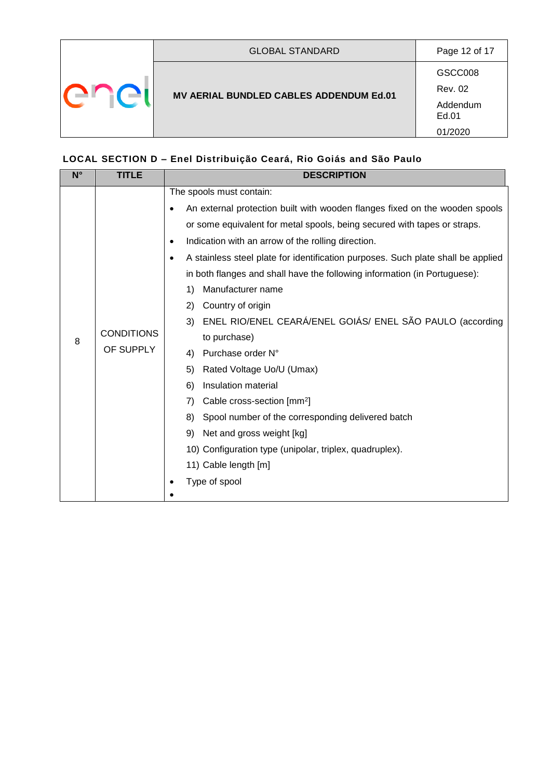|  | <b>GLOBAL STANDARD</b>                  | Page 12 of 17             |
|--|-----------------------------------------|---------------------------|
|  |                                         | GSCC008<br><b>Rev. 02</b> |
|  | MV AERIAL BUNDLED CABLES ADDENDUM Ed.01 | Addendum<br>Ed.01         |
|  |                                         | 01/2020                   |

# **LOCAL SECTION D – Enel Distribuição Ceará, Rio Goiás and São Paulo**

| $N^{\circ}$ | <b>TITLE</b>                   | <b>DESCRIPTION</b>                                                                                                                                                                                                                                                                                                                                                                                                                                                                                                                                                                                                                                                                                                                                                                                                                                                                                                                      |
|-------------|--------------------------------|-----------------------------------------------------------------------------------------------------------------------------------------------------------------------------------------------------------------------------------------------------------------------------------------------------------------------------------------------------------------------------------------------------------------------------------------------------------------------------------------------------------------------------------------------------------------------------------------------------------------------------------------------------------------------------------------------------------------------------------------------------------------------------------------------------------------------------------------------------------------------------------------------------------------------------------------|
| 8           | <b>CONDITIONS</b><br>OF SUPPLY | The spools must contain:<br>An external protection built with wooden flanges fixed on the wooden spools<br>$\bullet$<br>or some equivalent for metal spools, being secured with tapes or straps.<br>Indication with an arrow of the rolling direction.<br>$\bullet$<br>A stainless steel plate for identification purposes. Such plate shall be applied<br>$\bullet$<br>in both flanges and shall have the following information (in Portuguese):<br>Manufacturer name<br>1)<br>Country of origin<br>2)<br>ENEL RIO/ENEL CEARÁ/ENEL GOIÁS/ ENEL SÃO PAULO (according<br>3)<br>to purchase)<br>Purchase order N°<br>4)<br>5)<br>Rated Voltage Uo/U (Umax)<br>Insulation material<br>6)<br>Cable cross-section [mm <sup>2</sup> ]<br>7)<br>Spool number of the corresponding delivered batch<br>8)<br>Net and gross weight [kg]<br>9)<br>10) Configuration type (unipolar, triplex, quadruplex).<br>11) Cable length [m]<br>Type of spool |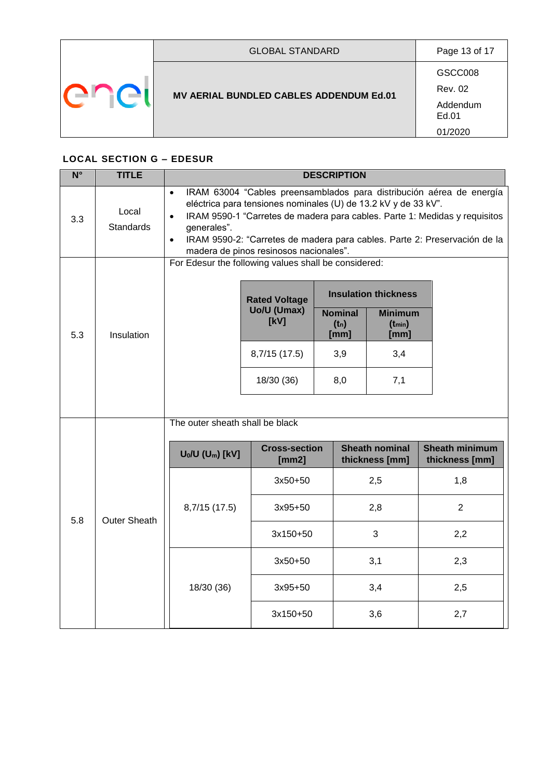| <b>GLOBAL STANDARD</b>                  | Page 13 of 17             |
|-----------------------------------------|---------------------------|
| MV AERIAL BUNDLED CABLES ADDENDUM Ed.01 | GSCC008<br><b>Rev. 02</b> |
|                                         | Addendum<br>Ed.01         |
|                                         | 01/2020                   |

#### <span id="page-12-0"></span>**LOCAL SECTION G – EDESUR**

| $N^{\circ}$ | <b>TITLE</b>              | <b>DESCRIPTION</b>                                                                                                                                                                                                                                                                                                                                                                                |                                             |  |                                   |                                                                      |                       |  |  |  |
|-------------|---------------------------|---------------------------------------------------------------------------------------------------------------------------------------------------------------------------------------------------------------------------------------------------------------------------------------------------------------------------------------------------------------------------------------------------|---------------------------------------------|--|-----------------------------------|----------------------------------------------------------------------|-----------------------|--|--|--|
| 3.3         | Local<br><b>Standards</b> | IRAM 63004 "Cables preensamblados para distribución aérea de energía<br>$\bullet$<br>eléctrica para tensiones nominales (U) de 13.2 kV y de 33 kV".<br>IRAM 9590-1 "Carretes de madera para cables. Parte 1: Medidas y requisitos<br>$\bullet$<br>generales".<br>IRAM 9590-2: "Carretes de madera para cables. Parte 2: Preservación de la<br>$\bullet$<br>madera de pinos resinosos nacionales". |                                             |  |                                   |                                                                      |                       |  |  |  |
| 5.3         | Insulation                | For Edesur the following values shall be considered:                                                                                                                                                                                                                                                                                                                                              | <b>Rated Voltage</b><br>Uo/U (Umax)<br>[kV] |  | <b>Nominal</b><br>$(t_n)$<br>[mm] | <b>Insulation thickness</b><br><b>Minimum</b><br>$(t_{min})$<br>[mm] |                       |  |  |  |
|             |                           |                                                                                                                                                                                                                                                                                                                                                                                                   | 8,7/15 (17.5)<br>18/30 (36)                 |  | 3,9<br>8,0                        | 3,4<br>7,1                                                           |                       |  |  |  |
|             |                           | The outer sheath shall be black                                                                                                                                                                                                                                                                                                                                                                   | <b>Cross-section</b>                        |  |                                   | <b>Sheath nominal</b>                                                | <b>Sheath minimum</b> |  |  |  |
|             |                           | $U_0/U$ (U <sub>m</sub> ) [kV]                                                                                                                                                                                                                                                                                                                                                                    | [mm2]                                       |  |                                   | thickness [mm]                                                       | thickness [mm]        |  |  |  |
|             |                           |                                                                                                                                                                                                                                                                                                                                                                                                   | 3x50+50                                     |  |                                   | 2,5                                                                  | 1,8                   |  |  |  |
| 5.8         | <b>Outer Sheath</b>       | 8,7/15 (17.5)                                                                                                                                                                                                                                                                                                                                                                                     | 3x95+50                                     |  |                                   | 2,8                                                                  | $\overline{2}$        |  |  |  |
|             |                           |                                                                                                                                                                                                                                                                                                                                                                                                   | 3x150+50                                    |  |                                   | 3                                                                    | 2,2                   |  |  |  |
|             |                           |                                                                                                                                                                                                                                                                                                                                                                                                   | 3x50+50                                     |  |                                   | 3,1                                                                  | 2,3                   |  |  |  |
|             |                           | 18/30 (36)                                                                                                                                                                                                                                                                                                                                                                                        | $3x95+50$                                   |  |                                   | 3,4                                                                  | 2,5                   |  |  |  |
|             |                           |                                                                                                                                                                                                                                                                                                                                                                                                   | 3x150+50                                    |  |                                   | 3,6                                                                  | 2,7                   |  |  |  |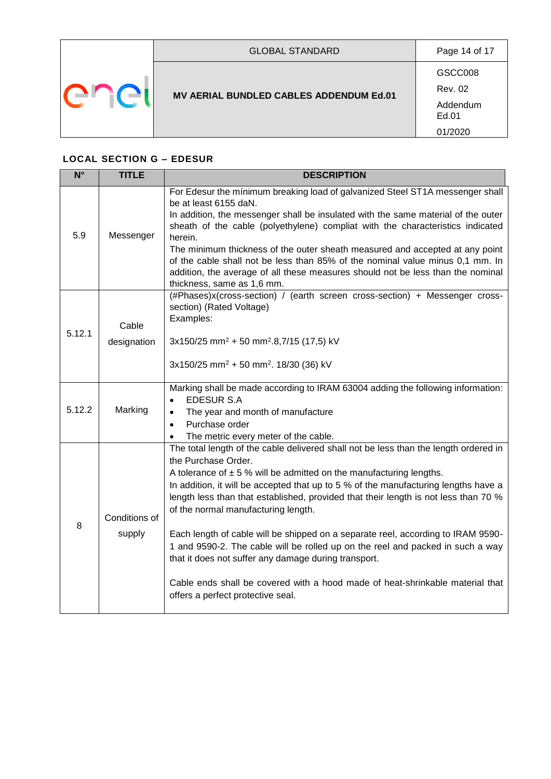|  | <b>GLOBAL STANDARD</b>                         | Page 14 of 17             |
|--|------------------------------------------------|---------------------------|
|  | <b>MV AERIAL BUNDLED CABLES ADDENDUM Ed.01</b> | GSCC008<br><b>Rev. 02</b> |
|  |                                                | Addendum<br>Ed.01         |
|  |                                                | 01/2020                   |

# **LOCAL SECTION G – EDESUR**

| $N^{\circ}$ | <b>TITLE</b>            | <b>DESCRIPTION</b>                                                                                                                                                                                                                                                                                                                                                                                                                                                                                                                                                                                                                                                                                                                                              |
|-------------|-------------------------|-----------------------------------------------------------------------------------------------------------------------------------------------------------------------------------------------------------------------------------------------------------------------------------------------------------------------------------------------------------------------------------------------------------------------------------------------------------------------------------------------------------------------------------------------------------------------------------------------------------------------------------------------------------------------------------------------------------------------------------------------------------------|
| 5.9         | Messenger               | For Edesur the minimum breaking load of galvanized Steel ST1A messenger shall<br>be at least 6155 daN.<br>In addition, the messenger shall be insulated with the same material of the outer<br>sheath of the cable (polyethylene) compliat with the characteristics indicated<br>herein.<br>The minimum thickness of the outer sheath measured and accepted at any point<br>of the cable shall not be less than 85% of the nominal value minus 0,1 mm. In<br>addition, the average of all these measures should not be less than the nominal<br>thickness, same as 1,6 mm.                                                                                                                                                                                      |
| 5.12.1      | Cable<br>designation    | (#Phases)x(cross-section) / (earth screen cross-section) + Messenger cross-<br>section) (Rated Voltage)<br>Examples:<br>$3x150/25$ mm <sup>2</sup> + 50 mm <sup>2</sup> .8,7/15 (17,5) kV<br>3x150/25 mm <sup>2</sup> + 50 mm <sup>2</sup> . 18/30 (36) kV                                                                                                                                                                                                                                                                                                                                                                                                                                                                                                      |
| 5.12.2      | Marking                 | Marking shall be made according to IRAM 63004 adding the following information:<br><b>EDESUR S.A</b><br>The year and month of manufacture<br>$\bullet$<br>Purchase order<br>$\bullet$<br>The metric every meter of the cable.<br>$\bullet$                                                                                                                                                                                                                                                                                                                                                                                                                                                                                                                      |
| 8           | Conditions of<br>supply | The total length of the cable delivered shall not be less than the length ordered in<br>the Purchase Order.<br>A tolerance of $\pm$ 5 % will be admitted on the manufacturing lengths.<br>In addition, it will be accepted that up to 5 % of the manufacturing lengths have a<br>length less than that established, provided that their length is not less than 70 %<br>of the normal manufacturing length.<br>Each length of cable will be shipped on a separate reel, according to IRAM 9590-<br>1 and 9590-2. The cable will be rolled up on the reel and packed in such a way<br>that it does not suffer any damage during transport.<br>Cable ends shall be covered with a hood made of heat-shrinkable material that<br>offers a perfect protective seal. |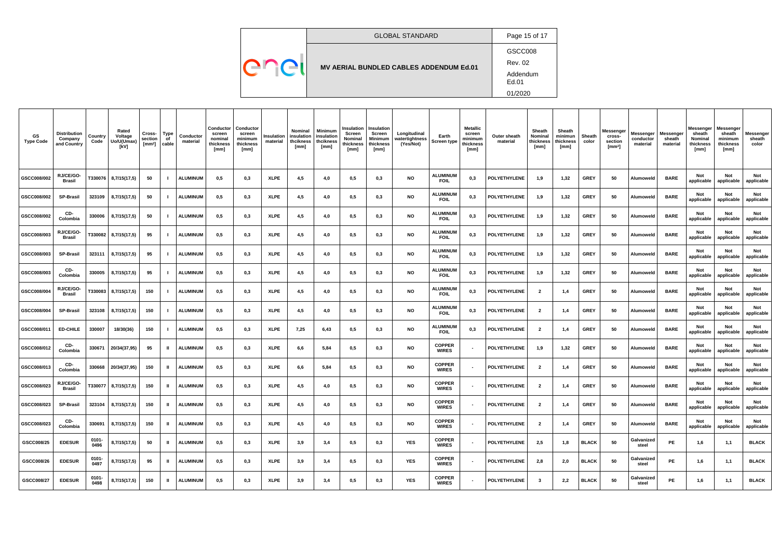|  | <b>GLOBAL STANDARD</b>                  | Page 15 of 17                       |
|--|-----------------------------------------|-------------------------------------|
|  |                                         | GSCC008                             |
|  | MV AERIAL BUNDLED CABLES ADDENDUM Ed.01 | <b>Rev. 02</b><br>Addendum<br>Ed.01 |
|  |                                         | 01/2020                             |

| GS<br><b>Type Code</b> | Distribution<br>Company<br>and Country | Country<br>Code  | Rated<br>Voltage<br>Uo/U(Umax)<br>[kV] | Cross-<br>section<br>$[mm2]$ cable | Type<br>of   | Conductor<br>material | Conductor<br>screen<br>nominal<br>thickness<br>[mm] | Conductor<br>screen<br>minimum<br>thickness<br>[mm] | Insulation<br>material | Nominal<br>insulation<br>thcikness<br>[mm] | <b>Minimum</b><br>insulation<br>thciknes:<br>[mm] | Insulation<br>Screen<br>Nominal<br>thickness<br>[mm] | Insulation<br>Screen<br><b>Minimum</b><br>thickness<br>[mm] | Longitudinal<br>watertightness<br>(Yes/Not) | Earth<br>Screen type           | <b>Metallic</b><br>screen<br>minimum<br>hickness:<br>[mm] | Outer sheath<br>material | Sheath<br>Nominal<br>thickness<br>[mm] | Sheath<br>minimun<br>thickness<br>[mm] | Sheath<br>color | Messenger<br>cross-<br>section<br>[ $mm2$ ] | Messenger<br>conductor<br>material | Messenger<br>sheath<br>material | Messenger<br>sheath<br>Nominal<br>thickness<br>[mm] | Messenger<br>sheath<br>minimum<br>thickness<br>[mm] | Messenger<br>sheath<br>color |
|------------------------|----------------------------------------|------------------|----------------------------------------|------------------------------------|--------------|-----------------------|-----------------------------------------------------|-----------------------------------------------------|------------------------|--------------------------------------------|---------------------------------------------------|------------------------------------------------------|-------------------------------------------------------------|---------------------------------------------|--------------------------------|-----------------------------------------------------------|--------------------------|----------------------------------------|----------------------------------------|-----------------|---------------------------------------------|------------------------------------|---------------------------------|-----------------------------------------------------|-----------------------------------------------------|------------------------------|
| GSCC008/002            | RJ/CE/GO-<br><b>Brasil</b>             |                  | T330076 8,7/15(17,5)                   | 50                                 |              | <b>ALUMINUM</b>       | 0,5                                                 | 0,3                                                 | <b>XLPE</b>            | 4,5                                        | 4.0                                               | 0,5                                                  | 0,3                                                         | <b>NO</b>                                   | <b>ALUMINUM</b><br><b>FOIL</b> | 0,3                                                       | POLYETHYLENE             | 1,9                                    | 1,32                                   | <b>GREY</b>     | 50                                          | Alumoweld                          | <b>BARE</b>                     | Not<br>applicable                                   | Not<br>applicable                                   | Not<br>applicable            |
| GSCC008/002            | <b>SP-Brasil</b>                       | 323109           | 8,7/15(17,5)                           | 50                                 |              | <b>ALUMINUM</b>       | 0,5                                                 | 0,3                                                 | <b>XLPE</b>            | 4,5                                        | 4.0                                               | 0,5                                                  | 0,3                                                         | NO                                          | <b>ALUMINUM</b><br><b>FOIL</b> | 0,3                                                       | <b>POLYETHYLENE</b>      | 1,9                                    | 1,32                                   | <b>GREY</b>     | 50                                          | Alumoweld                          | <b>BARE</b>                     | <b>Not</b><br>applicable                            | Not<br>applicable                                   | Not<br>applicable            |
| GSCC008/002            | CD-<br>Colombia                        | 330006           | 8,7/15(17,5)                           | 50                                 |              | <b>ALUMINUM</b>       | 0,5                                                 | 0,3                                                 | <b>XLPE</b>            | 4,5                                        | 4,0                                               | 0,5                                                  | $_{0,3}$                                                    | <b>NO</b>                                   | <b>ALUMINUM</b><br><b>FOIL</b> | 0,3                                                       | <b>POLYETHYLENE</b>      | 1,9                                    | 1,32                                   | <b>GREY</b>     | 50                                          | Alumoweld                          | <b>BARE</b>                     | Not<br>applicable                                   | <b>Not</b><br>applicable                            | Not<br>applicable            |
| GSCC008/003            | RJ/CE/GO-<br><b>Brasil</b>             |                  | T330082   8,7/15(17,5)                 | 95                                 |              | <b>ALUMINUM</b>       | 0,5                                                 | 0,3                                                 | <b>XLPE</b>            | 4,5                                        | 4,0                                               | 0,5                                                  | 0,3                                                         | <b>NO</b>                                   | <b>ALUMINUM</b><br><b>FOIL</b> | 0,3                                                       | POLYETHYLENE             | 1,9                                    | 1,32                                   | <b>GREY</b>     | 50                                          | Alumoweld                          | <b>BARE</b>                     | Not<br>applicable                                   | Not<br>applicable                                   | Not<br>applicable            |
| GSCC008/003            | <b>SP-Brasil</b>                       |                  | $323111$ 8,7/15(17,5)                  | 95                                 |              | <b>ALUMINUM</b>       | 0,5                                                 | 0,3                                                 | <b>XLPE</b>            | 4,5                                        | 4.0                                               | 0,5                                                  | 0,3                                                         | <b>NO</b>                                   | <b>ALUMINUM</b><br><b>FOIL</b> | 0,3                                                       | <b>POLYETHYLENE</b>      | 1,9                                    | 1,32                                   | <b>GREY</b>     | 50                                          | Alumoweld                          | <b>BARE</b>                     | Not<br>applicable                                   | <b>Not</b><br>applicable                            | Not<br>applicable            |
| GSCC008/003            | CD-<br>Colombia                        | 330005           | 8,7/15(17,5)                           | 95                                 |              | <b>ALUMINUM</b>       | 0,5                                                 | 0,3                                                 | <b>XLPE</b>            | 4,5                                        | 4.0                                               | 0,5                                                  | $_{0,3}$                                                    | <b>NO</b>                                   | <b>ALUMINUM</b><br><b>FOIL</b> | 0,3                                                       | POLYETHYLENE             | 1,9                                    | 1,32                                   | <b>GREY</b>     | 50                                          | Alumoweld                          | <b>BARE</b>                     | Not<br>applicable                                   | <b>Not</b><br>applicable                            | Not<br>applicable            |
| GSCC008/004            | RJ/CE/GO-<br><b>Brasil</b>             |                  | T330083 8,7/15(17,5)                   | 150                                |              | <b>ALUMINUM</b>       | 0,5                                                 | 0,3                                                 | <b>XLPE</b>            | 4,5                                        | 4,0                                               | 0,5                                                  | 0,3                                                         | <b>NO</b>                                   | <b>ALUMINUM</b><br><b>FOIL</b> | 0,3                                                       | POLYETHYLENE             | $\overline{2}$                         | 1,4                                    | <b>GREY</b>     | 50                                          | Alumoweld                          | <b>BARE</b>                     | <b>Not</b><br>applicable                            | Not<br>applicable                                   | Not<br>applicable            |
| GSCC008/004            | <b>SP-Brasil</b>                       |                  | $323108$   8,7/15(17,5)                | 150                                |              | <b>ALUMINUM</b>       | 0,5                                                 | 0,3                                                 | <b>XLPE</b>            | 4,5                                        | 4,0                                               | 0,5                                                  | 0,3                                                         | <b>NO</b>                                   | <b>ALUMINUM</b><br><b>FOIL</b> | 0,3                                                       | <b>POLYETHYLENE</b>      | $\overline{2}$                         | 1,4                                    | <b>GREY</b>     | 50                                          | Alumoweld                          | <b>BARE</b>                     | Not<br>applicable                                   | Not<br>applicable                                   | Not<br>applicable            |
| GSCC008/011            | <b>ED-CHILE</b>                        | 330007           | 18/30(36)                              | 150                                |              | <b>ALUMINUM</b>       | 0,5                                                 | 0,3                                                 | <b>XLPE</b>            | 7,25                                       | 6,43                                              | 0,5                                                  | 0,3                                                         | <b>NO</b>                                   | <b>ALUMINUM</b><br><b>FOIL</b> | 0,3                                                       | POLYETHYLENE             | $\overline{\mathbf{2}}$                | 1,4                                    | <b>GREY</b>     | 50                                          | Alumoweld                          | <b>BARE</b>                     | Not<br>applicable                                   | Not<br>applicable                                   | Not<br>applicable            |
| GSCC008/012            | CD-<br>Colombia                        | 330671           | 20/34(37,95)                           | 95                                 |              | <b>ALUMINUM</b>       | 0,5                                                 | 0,3                                                 | <b>XLPE</b>            | 6,6                                        | 5,84                                              | 0,5                                                  | $_{0,3}$                                                    | <b>NO</b>                                   | <b>COPPER</b><br><b>WIRES</b>  |                                                           | <b>POLYETHYLENE</b>      | 1,9                                    | 1,32                                   | <b>GREY</b>     | 50                                          | Alumoweld                          | <b>BARE</b>                     | Not<br>applicable                                   | <b>Not</b><br>applicable                            | Not<br>applicable            |
| GSCC008/013            | CD-<br>Colombia                        |                  | 330668 20/34(37,95)                    | 150                                | ш            | <b>ALUMINUM</b>       | 0,5                                                 | 0,3                                                 | <b>XLPE</b>            | 6,6                                        | 5,84                                              | 0,5                                                  | $_{0,3}$                                                    | <b>NO</b>                                   | <b>COPPER</b><br><b>WIRES</b>  | $\sim$                                                    | <b>POLYETHYLENE</b>      | $\overline{\mathbf{2}}$                | 1,4                                    | <b>GREY</b>     | 50                                          | Alumoweld                          | <b>BARE</b>                     | <b>Not</b><br>applicable                            | <b>Not</b><br>applicable                            | Not<br>applicable            |
| GSCC008/023            | RJ/CE/GO-<br><b>Brasil</b>             |                  | T330077   8,7/15(17,5)                 | 150                                | Ш.           | <b>ALUMINUM</b>       | 0,5                                                 | 0,3                                                 | <b>XLPE</b>            | 4,5                                        | 4,0                                               | 0,5                                                  | 0,3                                                         | <b>NO</b>                                   | <b>COPPER</b><br><b>WIRES</b>  |                                                           | <b>POLYETHYLENE</b>      | $\overline{2}$                         | 1,4                                    | <b>GREY</b>     | 50                                          | Alumoweld                          | <b>BARE</b>                     | Not<br>applicable                                   | Not<br>applicable                                   | Not<br>applicable            |
| GSCC008/023            | <b>SP-Brasil</b>                       |                  | $323104$ 8,7/15(17,5)                  | 150                                | $\mathbf{H}$ | <b>ALUMINUM</b>       | 0,5                                                 | 0,3                                                 | <b>XLPE</b>            | 4,5                                        | 4,0                                               | 0,5                                                  | 0,3                                                         | NO                                          | <b>COPPER</b><br><b>WIRES</b>  |                                                           | <b>POLYETHYLENE</b>      | $\overline{2}$                         | 1,4                                    | <b>GREY</b>     | 50                                          | Alumoweld                          | <b>BARE</b>                     | <b>Not</b>                                          | <b>Not</b><br>applicable applicable applicable      | Not                          |
| GSCC008/023            | CD-<br>Colombia                        | 330691           | 8,7/15(17,5)                           | 150                                | $\mathbf{u}$ | <b>ALUMINUM</b>       | 0,5                                                 | 0,3                                                 | <b>XLPE</b>            | 4,5                                        | 4,0                                               | 0,5                                                  | 0,3                                                         | <b>NO</b>                                   | <b>COPPER</b><br><b>WIRES</b>  | $\sim$                                                    | <b>POLYETHYLENE</b>      | $\overline{2}$                         | 1,4                                    | <b>GREY</b>     | 50                                          | Alumoweld                          | <b>BARE</b>                     | Not<br>applicable                                   | Not<br>applicable                                   | Not<br>applicable            |
| GSCC008/25             | <b>EDESUR</b>                          | $0101 -$<br>0496 | 8,7/15(17,5)                           | 50                                 | Ш.           | <b>ALUMINUM</b>       | 0,5                                                 | 0,3                                                 | <b>XLPE</b>            | 3,9                                        | 3,4                                               | 0,5                                                  | 0,3                                                         | <b>YES</b>                                  | <b>COPPER</b><br><b>WIRES</b>  | $\sim$                                                    | <b>POLYETHYLENE</b>      | 2,5                                    | 1,8                                    | <b>BLACK</b>    | 50                                          | Galvanized<br>steel                | PE                              | 1,6                                                 | 1,1                                                 | <b>BLACK</b>                 |
| GSCC008/26             | <b>EDESUR</b>                          | $0101 -$<br>0497 | 8,7/15(17,5)                           | 95                                 | $\mathbf{u}$ | <b>ALUMINUM</b>       | 0,5                                                 | 0,3                                                 | <b>XLPE</b>            | 3,9                                        | 3,4                                               | 0,5                                                  | 0,3                                                         | <b>YES</b>                                  | <b>COPPER</b><br><b>WIRES</b>  | $\sim$                                                    | <b>POLYETHYLENE</b>      | 2,8                                    | 2,0                                    | <b>BLACK</b>    | 50                                          | Galvanized<br>steel                | PE                              | 1,6                                                 | 1,1                                                 | <b>BLACK</b>                 |
| GSCC008/27             | <b>EDESUR</b>                          | $0101 -$<br>0498 | 8,7/15(17,5)                           | 150                                | $\mathbf{u}$ | <b>ALUMINUM</b>       | 0,5                                                 | 0,3                                                 | <b>XLPE</b>            | 3,9                                        | 3,4                                               | 0,5                                                  | 0,3                                                         | YES                                         | <b>COPPER</b><br><b>WIRES</b>  |                                                           | <b>POLYETHYLENE</b>      | $\mathbf{3}$                           | 2,2                                    | <b>BLACK</b>    | 50                                          | Galvanized<br>steel                | PE                              | 1,6                                                 | 1,1                                                 | <b>BLACK</b>                 |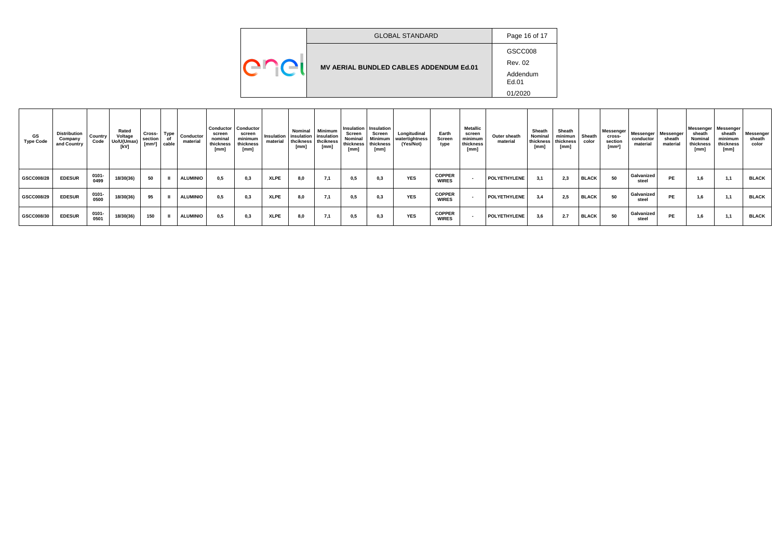|  | <b>GLOBAL STANDARD</b>                         | Page 16 of 17     |
|--|------------------------------------------------|-------------------|
|  |                                                | GSCC008           |
|  | <b>MV AERIAL BUNDLED CABLES ADDENDUM Ed.01</b> | <b>Rev. 02</b>    |
|  |                                                | Addendum<br>Ed.01 |
|  |                                                | 01/2020           |

| GS.<br><b>Type Code</b> | <b>Distribution</b><br>Company<br>and Country | Country<br>Code  | Rated<br>Voltage<br>Uo/U(Umax)<br>[kV] | Cross-<br>section<br>[mm <sup>2</sup> ] | Type<br>Οf<br>cable | Conductor<br>material | Conductor<br>screen<br>nominal<br>thickness<br>[mm] | Conductor<br>scree<br>minimum<br>thickness<br>[mm] | Insulation<br>material | Nominal<br>insulation<br>thcikness<br>[mm] | Minimum<br>insulation<br>thcikness<br>[mm] | <b>Screen</b><br>Nominal<br>thickness<br>[mm] | Insulation   Insulation<br>Screen<br>Minimum<br>thickness<br>[mm] | Longitudinal<br>watertightness<br>(Yes/Not) | Earth<br>Screen<br>type       | <b>Metallic</b><br>screen<br>minimum<br>thickness<br>[mm] | Outer sheath<br>material | Sheath<br>Nominal<br>thickness<br>[mm] | Sheath<br>minimun<br>thickness<br>[mm] | Sheath<br>color | Messenger<br>cross-<br>section<br>$[mm^2]$ | Messenger<br>conductor<br>material | Messenge<br>sheath<br>material | Messenger Messenger<br>sheath<br>Nominal<br>thickness<br>[mm] | sheath<br>minimum<br>thickness<br>[mm] | Messenger<br>sheath<br>color |
|-------------------------|-----------------------------------------------|------------------|----------------------------------------|-----------------------------------------|---------------------|-----------------------|-----------------------------------------------------|----------------------------------------------------|------------------------|--------------------------------------------|--------------------------------------------|-----------------------------------------------|-------------------------------------------------------------------|---------------------------------------------|-------------------------------|-----------------------------------------------------------|--------------------------|----------------------------------------|----------------------------------------|-----------------|--------------------------------------------|------------------------------------|--------------------------------|---------------------------------------------------------------|----------------------------------------|------------------------------|
| GSCC008/28              | <b>EDESUR</b>                                 | $0101 -$<br>0499 | 18/30(36)                              | 50                                      |                     | <b>ALUMINIO</b>       | 0,5                                                 | 0,3                                                | <b>XLPE</b>            | 8,0                                        | 7,1                                        | 0,5                                           | 0,3                                                               | <b>YES</b>                                  | <b>COPPER</b><br><b>WIRES</b> |                                                           | POLYETHYLENE             | 3.1                                    | 2,3                                    | <b>BLACK</b>    | 50                                         | Galvanized<br>steel                | <b>PE</b>                      | 1,6                                                           | 1.1                                    | <b>BLACK</b>                 |
| GSCC008/29              | <b>EDESUR</b>                                 | $0101 -$<br>0500 | 18/30(36)                              | 95                                      |                     | <b>ALUMINIO</b>       | 0.5                                                 | 0.3                                                | <b>XLPE</b>            | 8,0                                        | 7,1                                        | 0,5                                           | 0,3                                                               | <b>YES</b>                                  | <b>COPPER</b><br><b>WIRES</b> |                                                           | POLYETHYLENE             | 3.4                                    | 2,5                                    | <b>BLACK</b>    | 50                                         | Galvanized<br>steel                | <b>PE</b>                      | 1,6                                                           | 1.1                                    | <b>BLACK</b>                 |
| GSCC008/30              | <b>EDESUR</b>                                 | $0101 -$<br>0501 | 18/30(36)                              | 150                                     |                     | <b>ALUMINIO</b>       | 0,5                                                 | 0,3                                                | <b>XLPE</b>            | 8,0                                        | 7,1                                        | 0.5                                           | 0,3                                                               | <b>YES</b>                                  | <b>COPPER</b><br><b>WIRES</b> |                                                           | POLYETHYLENE             | 3.6                                    | 2.7                                    | <b>BLACK</b>    | 50                                         | Galvanized<br>steel                | <b>PE</b>                      | 1,6                                                           | $-11$                                  | <b>BLACK</b>                 |